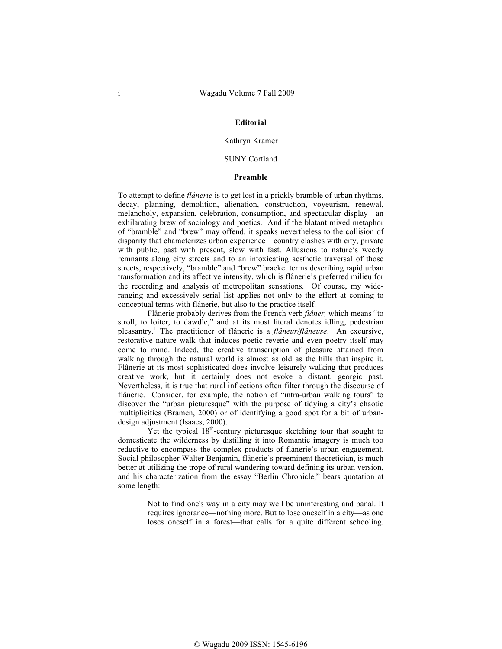#### **Editorial**

# Kathryn Kramer

## SUNY Cortland

#### **Preamble**

To attempt to define *flânerie* is to get lost in a prickly bramble of urban rhythms, decay, planning, demolition, alienation, construction, voyeurism, renewal, melancholy, expansion, celebration, consumption, and spectacular display—an exhilarating brew of sociology and poetics. And if the blatant mixed metaphor of "bramble" and "brew" may offend, it speaks nevertheless to the collision of disparity that characterizes urban experience—country clashes with city, private with public, past with present, slow with fast. Allusions to nature's weedy remnants along city streets and to an intoxicating aesthetic traversal of those streets, respectively, "bramble" and "brew" bracket terms describing rapid urban transformation and its affective intensity, which is flânerie's preferred milieu for the recording and analysis of metropolitan sensations. Of course, my wideranging and excessively serial list applies not only to the effort at coming to conceptual terms with flânerie, but also to the practice itself.

Flânerie probably derives from the French verb *flâner,* which means "to stroll, to loiter, to dawdle," and at its most literal denotes idling, pedestrian pleasantry.<sup>1</sup> The practitioner of flânerie is a *flâneur/flâneuse*. An excursive, restorative nature walk that induces poetic reverie and even poetry itself may come to mind. Indeed, the creative transcription of pleasure attained from walking through the natural world is almost as old as the hills that inspire it. Flânerie at its most sophisticated does involve leisurely walking that produces creative work, but it certainly does not evoke a distant, georgic past. Nevertheless, it is true that rural inflections often filter through the discourse of flânerie. Consider, for example, the notion of "intra-urban walking tours" to discover the "urban picturesque" with the purpose of tidying a city's chaotic multiplicities (Bramen, 2000) or of identifying a good spot for a bit of urbandesign adjustment (Isaacs, 2000).

Yet the typical  $18<sup>th</sup>$ -century picturesque sketching tour that sought to domesticate the wilderness by distilling it into Romantic imagery is much too reductive to encompass the complex products of flânerie's urban engagement. Social philosopher Walter Benjamin, flânerie's preeminent theoretician, is much better at utilizing the trope of rural wandering toward defining its urban version, and his characterization from the essay "Berlin Chronicle," bears quotation at some length:

> Not to find one's way in a city may well be uninteresting and banal. It requires ignorance—nothing more. But to lose oneself in a city—as one loses oneself in a forest—that calls for a quite different schooling.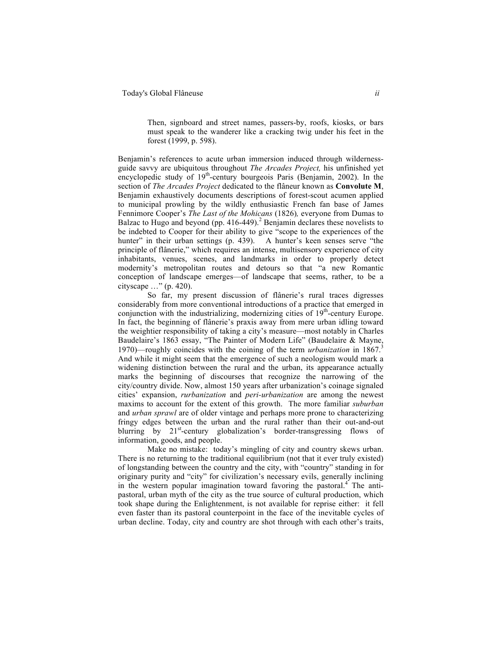Then, signboard and street names, passers-by, roofs, kiosks, or bars must speak to the wanderer like a cracking twig under his feet in the forest (1999, p. 598).

Benjamin's references to acute urban immersion induced through wildernessguide savvy are ubiquitous throughout *The Arcades Project,* his unfinished yet encyclopedic study of 19<sup>th</sup>-century bourgeois Paris (Benjamin, 2002). In the section of *The Arcades Project* dedicated to the flâneur known as **Convolute M**, Benjamin exhaustively documents descriptions of forest-scout acumen applied to municipal prowling by the wildly enthusiastic French fan base of James Fennimore Cooper's *The Last of the Mohicans* (1826)*,* everyone from Dumas to Balzac to Hugo and beyond (pp. 416-449).<sup>2</sup> Benjamin declares these novelists to be indebted to Cooper for their ability to give "scope to the experiences of the hunter" in their urban settings (p. 439). A hunter's keen senses serve "the principle of flânerie," which requires an intense, multisensory experience of city inhabitants, venues, scenes, and landmarks in order to properly detect modernity's metropolitan routes and detours so that "a new Romantic conception of landscape emerges—of landscape that seems, rather, to be a cityscape …" (p. 420).

So far, my present discussion of flânerie's rural traces digresses considerably from more conventional introductions of a practice that emerged in conjunction with the industrializing, modernizing cities of  $19<sup>th</sup>$ -century Europe. In fact, the beginning of flânerie's praxis away from mere urban idling toward the weightier responsibility of taking a city's measure—most notably in Charles Baudelaire's 1863 essay, "The Painter of Modern Life" (Baudelaire & Mayne, 1970)—roughly coincides with the coining of the term *urbanization* in 1867.3 And while it might seem that the emergence of such a neologism would mark a widening distinction between the rural and the urban, its appearance actually marks the beginning of discourses that recognize the narrowing of the city/country divide. Now, almost 150 years after urbanization's coinage signaled cities' expansion, *rurbanization* and *peri-urbanization* are among the newest maxims to account for the extent of this growth. The more familiar *suburban*  and *urban sprawl* are of older vintage and perhaps more prone to characterizing fringy edges between the urban and the rural rather than their out-and-out blurring by 21<sup>st</sup>-century globalization's border-transgressing flows of information, goods, and people.

Make no mistake: today's mingling of city and country skews urban. There is no returning to the traditional equilibrium (not that it ever truly existed) of longstanding between the country and the city, with "country" standing in for originary purity and "city" for civilization's necessary evils, generally inclining in the western popular imagination toward favoring the pastoral.<sup>4</sup> The antipastoral, urban myth of the city as the true source of cultural production, which took shape during the Enlightenment, is not available for reprise either: it fell even faster than its pastoral counterpoint in the face of the inevitable cycles of urban decline. Today, city and country are shot through with each other's traits,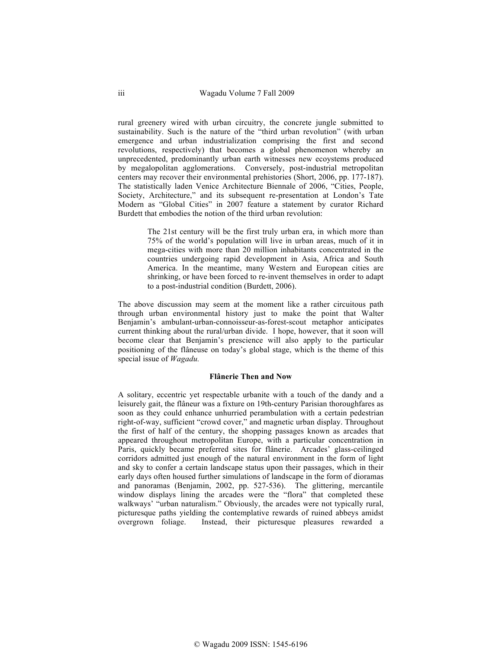rural greenery wired with urban circuitry, the concrete jungle submitted to sustainability. Such is the nature of the "third urban revolution" (with urban emergence and urban industrialization comprising the first and second revolutions, respectively) that becomes a global phenomenon whereby an unprecedented, predominantly urban earth witnesses new ecoystems produced by megalopolitan agglomerations. Conversely, post-industrial metropolitan centers may recover their environmental prehistories (Short, 2006, pp. 177-187). The statistically laden Venice Architecture Biennale of 2006, "Cities, People, Society, Architecture," and its subsequent re-presentation at London's Tate Modern as "Global Cities" in 2007 feature a statement by curator Richard Burdett that embodies the notion of the third urban revolution:

> The 21st century will be the first truly urban era, in which more than 75% of the world's population will live in urban areas, much of it in mega-cities with more than 20 million inhabitants concentrated in the countries undergoing rapid development in Asia, Africa and South America. In the meantime, many Western and European cities are shrinking, or have been forced to re-invent themselves in order to adapt to a post-industrial condition (Burdett, 2006).

The above discussion may seem at the moment like a rather circuitous path through urban environmental history just to make the point that Walter Benjamin's ambulant-urban-connoisseur-as-forest-scout metaphor anticipates current thinking about the rural/urban divide. I hope, however, that it soon will become clear that Benjamin's prescience will also apply to the particular positioning of the flâneuse on today's global stage, which is the theme of this special issue of *Wagadu.* 

#### **Flânerie Then and Now**

A solitary, eccentric yet respectable urbanite with a touch of the dandy and a leisurely gait, the flâneur was a fixture on 19th-century Parisian thoroughfares as soon as they could enhance unhurried perambulation with a certain pedestrian right-of-way, sufficient "crowd cover," and magnetic urban display. Throughout the first of half of the century, the shopping passages known as arcades that appeared throughout metropolitan Europe, with a particular concentration in Paris, quickly became preferred sites for flânerie. Arcades' glass-ceilinged corridors admitted just enough of the natural environment in the form of light and sky to confer a certain landscape status upon their passages, which in their early days often housed further simulations of landscape in the form of dioramas and panoramas (Benjamin, 2002, pp. 527-536). The glittering, mercantile window displays lining the arcades were the "flora" that completed these walkways' "urban naturalism." Obviously, the arcades were not typically rural, picturesque paths yielding the contemplative rewards of ruined abbeys amidst overgrown foliage. Instead, their picturesque pleasures rewarded a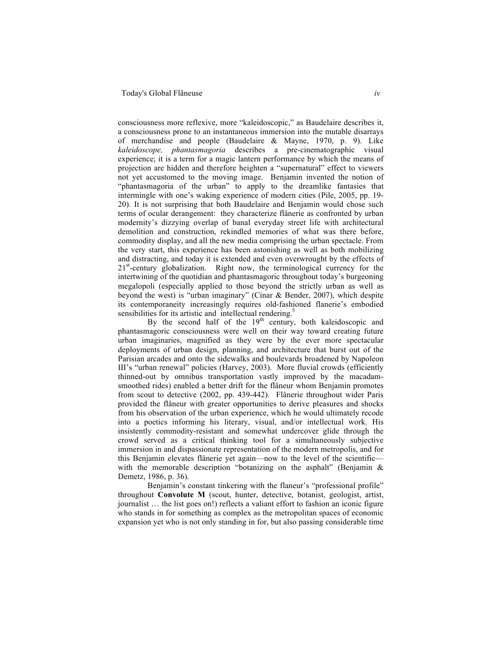consciousness more reflexive, more "kaleidoscopic," as Baudelaire describes it, a consciousness prone to an instantaneous immersion into the mutable disarrays of merchandise and people (Baudelaire & Mayne, 1970, p. 9). Like *kaleidoscope, phantasmagoria* describes a pre-cinematographic visual experience; it is a term for a magic lantern performance by which the means of projection are hidden and therefore heighten a "supernatural" effect to viewers not yet accustomed to the moving image. Benjamin invented the notion of "phantasmagoria of the urban" to apply to the dreamlike fantasies that intermingle with one's waking experience of modern cities (Pile, 2005, pp. 19- 20). It is not surprising that both Baudelaire and Benjamin would chose such terms of ocular derangement: they characterize flânerie as confronted by urban modernity's dizzying overlap of banal everyday street life with architectural demolition and construction, rekindled memories of what was there before, commodity display, and all the new media comprising the urban spectacle. From the very start, this experience has been astonishing as well as both mobilizing and distracting, and today it is extended and even overwrought by the effects of 21<sup>st</sup>-century globalization. Right now, the terminological currency for the intertwining of the quotidian and phantasmagoric throughout today's burgeoning megalopoli (especially applied to those beyond the strictly urban as well as beyond the west) is "urban imaginary" (Cinar & Bender, 2007), which despite its contemporaneity increasingly requires old-fashioned flanerie's embodied sensibilities for its artistic and intellectual rendering.<sup>5</sup>

By the second half of the  $19<sup>th</sup>$  century, both kaleidoscopic and phantasmagoric consciousness were well on their way toward creating future urban imaginaries, magnified as they were by the ever more spectacular deployments of urban design, planning, and architecture that burst out of the Parisian arcades and onto the sidewalks and boulevards broadened by Napoleon III's "urban renewal" policies (Harvey, 2003). More fluvial crowds (efficiently thinned-out by omnibus transportation vastly improved by the macadamsmoothed rides) enabled a better drift for the flâneur whom Benjamin promotes from scout to detective (2002, pp. 439-442). Flânerie throughout wider Paris provided the flâneur with greater opportunities to derive pleasures and shocks from his observation of the urban experience, which he would ultimately recode into a poetics informing his literary, visual, and/or intellectual work. His insistently commodity-resistant and somewhat undercover glide through the crowd served as a critical thinking tool for a simultaneously subjective immersion in and dispassionate representation of the modern metropolis, and for this Benjamin elevates flânerie yet again—now to the level of the scientific with the memorable description "botanizing on the asphalt" (Benjamin  $\&$ Demetz, 1986, p. 36).

Benjamin's constant tinkering with the flaneur's "professional profile" throughout **Convolute M** (scout, hunter, detective, botanist, geologist, artist, journalist … the list goes on!) reflects a valiant effort to fashion an iconic figure who stands in for something as complex as the metropolitan spaces of economic expansion yet who is not only standing in for, but also passing considerable time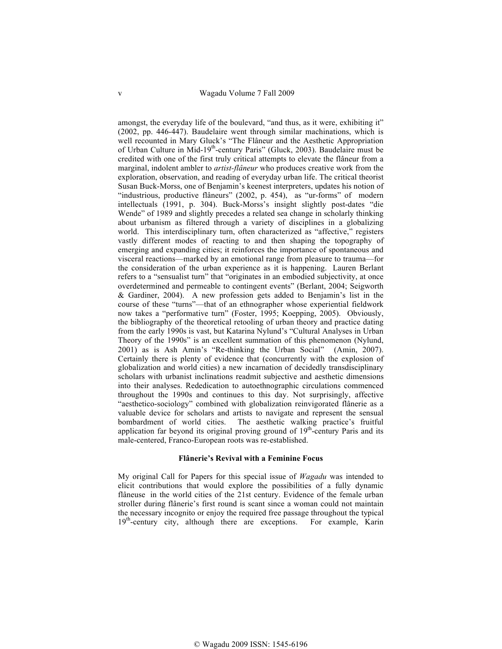amongst, the everyday life of the boulevard, "and thus, as it were, exhibiting it" (2002, pp. 446-447). Baudelaire went through similar machinations, which is well recounted in Mary Gluck's "The Flâneur and the Aesthetic Appropriation of Urban Culture in Mid-19<sup>th</sup>-century Paris" (Gluck, 2003). Baudelaire must be credited with one of the first truly critical attempts to elevate the flâneur from a marginal, indolent ambler to *artist-flâneur* who produces creative work from the exploration, observation, and reading of everyday urban life. The critical theorist Susan Buck-Morss, one of Benjamin's keenest interpreters, updates his notion of "industrious, productive flâneurs" (2002, p. 454), as "ur-forms" of modern intellectuals (1991, p. 304). Buck-Morss's insight slightly post-dates "die Wende" of 1989 and slightly precedes a related sea change in scholarly thinking about urbanism as filtered through a variety of disciplines in a globalizing world. This interdisciplinary turn, often characterized as "affective," registers vastly different modes of reacting to and then shaping the topography of emerging and expanding cities; it reinforces the importance of spontaneous and visceral reactions—marked by an emotional range from pleasure to trauma—for the consideration of the urban experience as it is happening. Lauren Berlant refers to a "sensualist turn" that "originates in an embodied subjectivity, at once overdetermined and permeable to contingent events" (Berlant, 2004; Seigworth & Gardiner, 2004). A new profession gets added to Benjamin's list in the course of these "turns"—that of an ethnographer whose experiential fieldwork now takes a "performative turn" (Foster, 1995; Koepping, 2005). Obviously, the bibliography of the theoretical retooling of urban theory and practice dating from the early 1990s is vast, but Katarina Nylund's "Cultural Analyses in Urban Theory of the 1990s" is an excellent summation of this phenomenon (Nylund, 2001) as is Ash Amin's "Re-thinking the Urban Social" (Amin, 2007). Certainly there is plenty of evidence that (concurrently with the explosion of globalization and world cities) a new incarnation of decidedly transdisciplinary scholars with urbanist inclinations readmit subjective and aesthetic dimensions into their analyses. Rededication to autoethnographic circulations commenced throughout the 1990s and continues to this day. Not surprisingly, affective "aesthetico-sociology" combined with globalization reinvigorated flânerie as a valuable device for scholars and artists to navigate and represent the sensual bombardment of world cities. The aesthetic walking practice's fruitful application far beyond its original proving ground of  $19<sup>th</sup>$ -century Paris and its male-centered, Franco-European roots was re-established.

### **Flânerie's Revival with a Feminine Focus**

My original Call for Papers for this special issue of *Wagadu* was intended to elicit contributions that would explore the possibilities of a fully dynamic flâneuse in the world cities of the 21st century. Evidence of the female urban stroller during flânerie's first round is scant since a woman could not maintain the necessary incognito or enjoy the required free passage throughout the typical 19<sup>th</sup>-century city, although there are exceptions. For example, Karin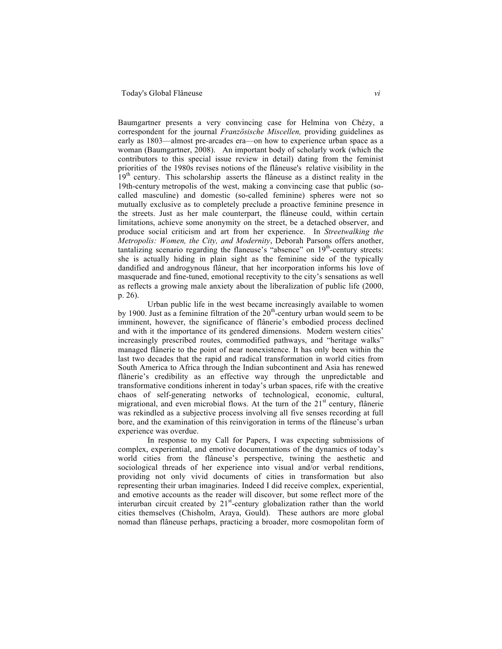## Today's Global Flâneuse *vi*

Baumgartner presents a very convincing case for Helmina von Chézy, a correspondent for the journal *Französische Miscellen,* providing guidelines as early as 1803—almost pre-arcades era—on how to experience urban space as a woman (Baumgartner, 2008). An important body of scholarly work (which the contributors to this special issue review in detail) dating from the feminist priorities of the 1980s revises notions of the flâneuse's relative visibility in the 19<sup>th</sup> century. This scholarship asserts the flâneuse as a distinct reality in the 19th-century metropolis of the west, making a convincing case that public (socalled masculine) and domestic (so-called feminine) spheres were not so mutually exclusive as to completely preclude a proactive feminine presence in the streets. Just as her male counterpart, the flâneuse could, within certain limitations, achieve some anonymity on the street, be a detached observer, and produce social criticism and art from her experience. In *Streetwalking the Metropolis: Women, the City, and Modernity*, Deborah Parsons offers another, tantalizing scenario regarding the flaneuse's "absence" on  $19<sup>th</sup>$ -century streets: she is actually hiding in plain sight as the feminine side of the typically dandified and androgynous flâneur, that her incorporation informs his love of masquerade and fine-tuned, emotional receptivity to the city's sensations as well as reflects a growing male anxiety about the liberalization of public life (2000, p. 26).

Urban public life in the west became increasingly available to women by 1900. Just as a feminine filtration of the  $20<sup>th</sup>$ -century urban would seem to be imminent, however, the significance of flânerie's embodied process declined and with it the importance of its gendered dimensions. Modern western cities' increasingly prescribed routes, commodified pathways, and "heritage walks" managed flânerie to the point of near nonexistence. It has only been within the last two decades that the rapid and radical transformation in world cities from South America to Africa through the Indian subcontinent and Asia has renewed flânerie's credibility as an effective way through the unpredictable and transformative conditions inherent in today's urban spaces, rife with the creative chaos of self-generating networks of technological, economic, cultural, migrational, and even microbial flows. At the turn of the  $21<sup>st</sup>$  century, flânerie was rekindled as a subjective process involving all five senses recording at full bore, and the examination of this reinvigoration in terms of the flâneuse's urban experience was overdue.

In response to my Call for Papers, I was expecting submissions of complex, experiential, and emotive documentations of the dynamics of today's world cities from the flâneuse's perspective, twining the aesthetic and sociological threads of her experience into visual and/or verbal renditions, providing not only vivid documents of cities in transformation but also representing their urban imaginaries. Indeed I did receive complex, experiential, and emotive accounts as the reader will discover, but some reflect more of the interurban circuit created by  $21<sup>st</sup>$ -century globalization rather than the world cities themselves (Chisholm, Araya, Gould). These authors are more global nomad than flâneuse perhaps, practicing a broader, more cosmopolitan form of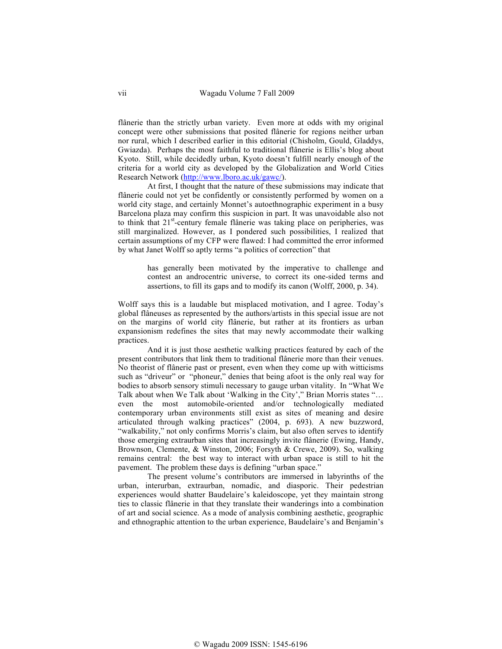flânerie than the strictly urban variety. Even more at odds with my original concept were other submissions that posited flânerie for regions neither urban nor rural, which I described earlier in this editorial (Chisholm, Gould, Gladdys, Gwiazda). Perhaps the most faithful to traditional flânerie is Ellis's blog about Kyoto. Still, while decidedly urban, Kyoto doesn't fulfill nearly enough of the criteria for a world city as developed by the Globalization and World Cities Research Network (http://www.lboro.ac.uk/gawc/).

At first, I thought that the nature of these submissions may indicate that flânerie could not yet be confidently or consistently performed by women on a world city stage, and certainly Monnet's autoethnographic experiment in a busy Barcelona plaza may confirm this suspicion in part. It was unavoidable also not to think that 21<sup>st</sup>-century female flânerie was taking place on peripheries, was still marginalized. However, as I pondered such possibilities, I realized that certain assumptions of my CFP were flawed: I had committed the error informed by what Janet Wolff so aptly terms "a politics of correction" that

> has generally been motivated by the imperative to challenge and contest an androcentric universe, to correct its one-sided terms and assertions, to fill its gaps and to modify its canon (Wolff, 2000, p. 34).

Wolff says this is a laudable but misplaced motivation, and I agree. Today's global flâneuses as represented by the authors/artists in this special issue are not on the margins of world city flânerie, but rather at its frontiers as urban expansionism redefines the sites that may newly accommodate their walking practices.

And it is just those aesthetic walking practices featured by each of the present contributors that link them to traditional flânerie more than their venues. No theorist of flânerie past or present, even when they come up with witticisms such as "driveur" or "phoneur," denies that being afoot is the only real way for bodies to absorb sensory stimuli necessary to gauge urban vitality. In "What We Talk about when We Talk about 'Walking in the City'," Brian Morris states "… even the most automobile-oriented and/or technologically mediated contemporary urban environments still exist as sites of meaning and desire articulated through walking practices" (2004, p. 693). A new buzzword, "walkability," not only confirms Morris's claim, but also often serves to identify those emerging extraurban sites that increasingly invite flânerie (Ewing, Handy, Brownson, Clemente, & Winston, 2006; Forsyth & Crewe, 2009). So, walking remains central: the best way to interact with urban space is still to hit the pavement. The problem these days is defining "urban space."

The present volume's contributors are immersed in labyrinths of the urban, interurban, extraurban, nomadic, and diasporic. Their pedestrian experiences would shatter Baudelaire's kaleidoscope, yet they maintain strong ties to classic flânerie in that they translate their wanderings into a combination of art and social science. As a mode of analysis combining aesthetic, geographic and ethnographic attention to the urban experience, Baudelaire's and Benjamin's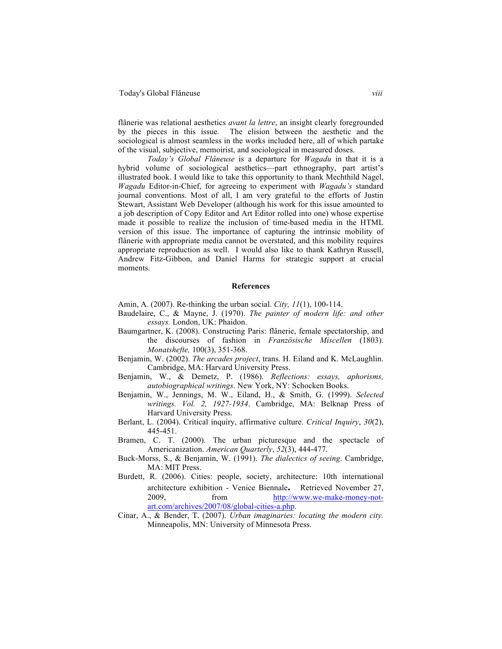flânerie was relational aesthetics *avant la lettre*, an insight clearly foregrounded by the pieces in this issue*.* The elision between the aesthetic and the sociological is almost seamless in the works included here, all of which partake of the visual, subjective, memoirist, and sociological in measured doses.

*Today's Global Flâneuse* is a departure for *Wagadu* in that it is a hybrid volume of sociological aesthetics—part ethnography, part artist's illustrated book. I would like to take this opportunity to thank Mechthild Nagel, *Wagadu* Editor-in-Chief, for agreeing to experiment with *Wagadu's* standard journal conventions. Most of all, I am very grateful to the efforts of Justin Stewart, Assistant Web Developer (although his work for this issue amounted to a job description of Copy Editor and Art Editor rolled into one) whose expertise made it possible to realize the inclusion of time-based media in the HTML version of this issue. The importance of capturing the intrinsic mobility of flânerie with appropriate media cannot be overstated, and this mobility requires appropriate reproduction as well. I would also like to thank Kathryn Russell, Andrew Fitz-Gibbon, and Daniel Harms for strategic support at crucial moments.

#### **References**

Amin, A. (2007). Re-thinking the urban social. *City, 11*(1), 100-114.

- Baudelaire, C., & Mayne, J. (1970). *The painter of modern life: and other essays.* London, UK: Phaidon.
- Baumgartner, K. (2008). Constructing Paris: flânerie, female spectatorship, and the discourses of fashion in *Französische Miscellen* (1803). *Monatshefte,* 100(3), 351-368.
- Benjamin, W. (2002). *The arcades project*, trans. H. Eiland and K. McLaughlin. Cambridge, MA: Harvard University Press.
- Benjamin, W., & Demetz, P. (1986). *Reflections: essays, aphorisms, autobiographical writings*. New York, NY: Schocken Books.
- Benjamin, W., Jennings, M. W., Eiland, H., & Smith, G. (1999). *Selected writings. Vol. 2, 1927-1934*. Cambridge, MA: Belknap Press of Harvard University Press.
- Berlant, L. (2004). Critical inquiry, affirmative culture. *Critical Inquiry*, *30*(2), 445-451.
- Bramen, C. T. (2000). The urban picturesque and the spectacle of Americanization. *American Quarterly*, *52*(3), 444-477.
- Buck-Morss, S., & Benjamin, W. (1991). *The dialectics of seeing*. Cambridge, MA: MIT Press.
- Burdett, R. (2006). Cities: people, society, architecture: 10th international architecture exhibition - Venice Biennale**.** Retrieved November 27, 2009, from http://www.we-make-money-notart.com/archives/2007/08/global-cities-a.php.
- Cinar, A., & Bender, T. (2007). *Urban imaginaries: locating the modern city.*  Minneapolis, MN: University of Minnesota Press.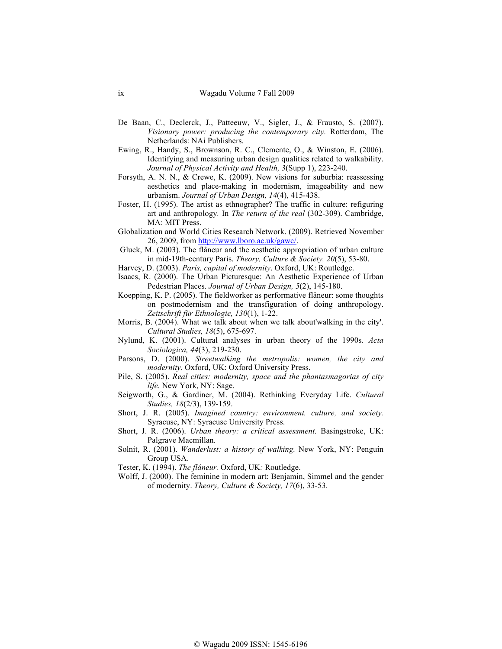- De Baan, C., Declerck, J., Patteeuw, V., Sigler, J., & Frausto, S. (2007). *Visionary power: producing the contemporary city.* Rotterdam, The Netherlands: NAi Publishers.
- Ewing, R., Handy, S., Brownson, R. C., Clemente, O., & Winston, E. (2006). Identifying and measuring urban design qualities related to walkability. *Journal of Physical Activity and Health, 3*(Supp 1), 223-240.
- Forsyth, A. N. N., & Crewe, K. (2009). New visions for suburbia: reassessing aesthetics and place-making in modernism, imageability and new urbanism. *Journal of Urban Design, 14*(4), 415-438.
- Foster, H. (1995). The artist as ethnographer? The traffic in culture: refiguring art and anthropology*.* In *The return of the real* (302-309). Cambridge, MA: MIT Press.
- Globalization and World Cities Research Network. (2009). Retrieved November 26, 2009, from http://www.lboro.ac.uk/gawc/.
- Gluck, M. (2003). The flâneur and the aesthetic appropriation of urban culture in mid-19th-century Paris. *Theory, Culture & Society, 20*(5), 53-80.
- Harvey, D. (2003). *Paris, capital of modernity*. Oxford, UK: Routledge.
- Isaacs, R. (2000). The Urban Picturesque: An Aesthetic Experience of Urban Pedestrian Places. *Journal of Urban Design, 5*(2), 145-180.
- Koepping, K. P. (2005). The fieldworker as performative flâneur: some thoughts on postmodernism and the transfiguration of doing anthropology. *Zeitschrift für Ethnologie, 130*(1), 1-22.
- Morris, B. (2004). What we talk about when we talk about'walking in the city'. *Cultural Studies, 18*(5), 675-697.
- Nylund, K. (2001). Cultural analyses in urban theory of the 1990s. *Acta Sociologica, 44*(3), 219-230.
- Parsons, D. (2000). *Streetwalking the metropolis: women, the city and modernity*. Oxford, UK: Oxford University Press.
- Pile, S. (2005). *Real cities: modernity, space and the phantasmagorias of city life.* New York, NY: Sage.
- Seigworth, G., & Gardiner, M. (2004). Rethinking Everyday Life. *Cultural Studies, 18*(2/3), 139-159.
- Short, J. R. (2005). *Imagined country: environment, culture, and society.*  Syracuse, NY: Syracuse University Press.
- Short, J. R. (2006). *Urban theory: a critical assessment.* Basingstroke, UK: Palgrave Macmillan.
- Solnit, R. (2001). *Wanderlust: a history of walking.* New York, NY: Penguin Group USA.
- Tester, K. (1994). *The flâneur.* Oxford, UK*:* Routledge.
- Wolff, J. (2000). The feminine in modern art: Benjamin, Simmel and the gender of modernity. *Theory, Culture & Society, 17*(6), 33-53.